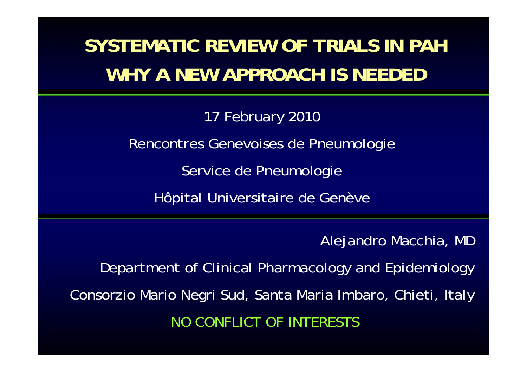## **SYSTEMATIC REVIEW OF TRIALS IN PAHWHY A NEW APPROACH IS NEEDED**

17 February 2010 Rencontres Genevoises de Pneumologie Service de Pneumologie Hôpital Universitaire de Genève

Alejandro Macchia, MD

Department of Clinical Pharmacology and Epidemiology Consorzio Mario Negri Sud, Santa Maria Imbaro, Chieti, Italy NO CONFLICT OF INTERESTS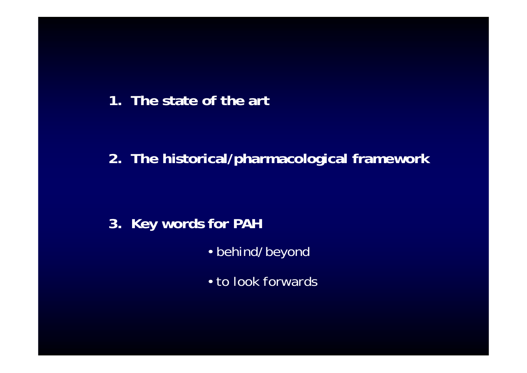#### **1. The state of the art**

### **2. The historical/pharmacological framework**

### **3. Key words for PAH**

- behind/beyond
- to look forwards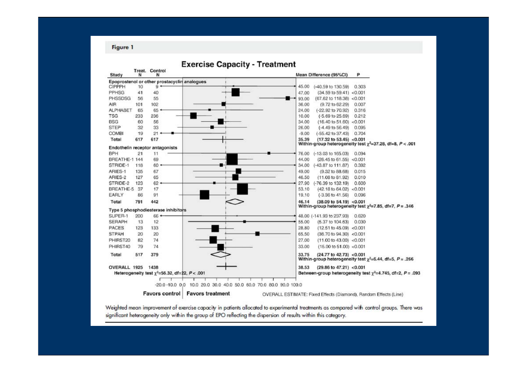**Figure 1** 



Weighted mean improvement of exercise capacity in patients allocated to experimental treatments as compared with control groups. There was significant heterogeneity only within the group of EPO reflecting the dispersion of results within this category.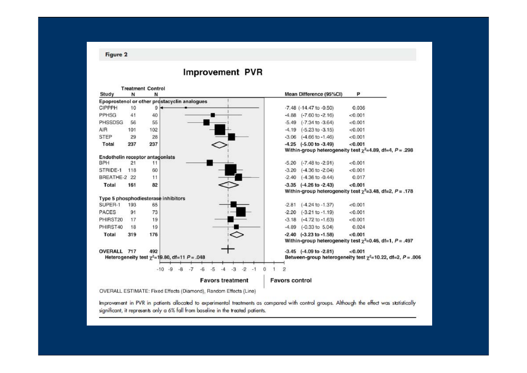#### **Treatment Control** Study Mean Difference (95%CI) P N N Epoprostenol or other prostacyclin analogues CIPPPH 10  $\theta$  $-7.48$   $(-14.47$  to  $-0.50)$ 0.036 PPHSG  $41$ 40  $-4.88$   $(-7.60 \text{ to } -2.16)$  $< 0.001$ PHSSDSG 56 55  $-5.49$   $(-7.34$  to  $-3.64)$  $< 0.001$ 102 AIR 101  $-4.19$   $(-5.23 \text{ to } -3.15)$  $< 0.001$ 28 **STEP** 29  $-3.06$   $(-4.66 \text{ to } -1.46)$  $< 0.001$ 237 237  $-4.25$   $(-5.00 \text{ to } -3.49)$  $< 0.001$ Total Within-group heterogeneity test  $\chi^2$ =4.89, df=4, P = .298 Endothelin receptor antagonists **BPH**  $-5.20$   $(-7.48$  to  $-2.91)$  $< 0.001$  $21$  $11$ 60 STRIDE-1 118  $-3.20$   $(-4.36$  to  $-2.04)$  $< 0.001$  $-2.40$   $(-4.36$  to  $-0.44)$ 0.017 BREATHE-2 22  $11$ Total 161 82  $-3.35$   $(-4.26$  to  $-2.43)$  $< 0.001$ Within-group heterogeneity test  $\chi^2$ =3.48, df=2, P = .178 Type 5 phosphodiesterase inhibitors SUPER-1 193 65  $-2.81$   $(-4.24$  to  $-1.37)$  $< 0.001$ 73 PACES  $-2.20$   $(-3.21$  to  $-1.19)$ 91  $< 0.001$ PHIRST20 17 19  $-3.18$   $(-4.72$  to  $-1.63)$  $< 0.001$ PHIRST40 19  $-4.89$   $(-0.33$  to  $5.04)$ 18 0.024 Total 319 176  $-2.40$   $(-3.23$  to  $-1.58)$  $< 0.001$ Within-group heterogeneity test  $\chi^2$ =0.46, df=1, P = .497 OVERALL 717  $-3.45$   $(-4.09$  to  $-2.81)$  $< 0.001$ 492 Between-group heterogeneity test  $\chi^2$ =10.22, df=2, P = .006 Heterogeneity test  $\chi^2$ =19.80, df=11 P = .048  $-10$   $-9$   $-8$   $-7$   $-6$   $-5$   $-4$   $-3$   $-2$   $-1$  0 1 2 **Favors treatment Favors control**

#### **Improvement PVR**

OVERALL ESTIMATE: Fixed Effects (Diamond), Random Effects (Line)

Improvement in PVR in patients allocated to experimental treatments as compared with control groups. Although the effect was statistically significant, it represents only a 6% fall from baseline in the treated patients.

#### **Figure 2**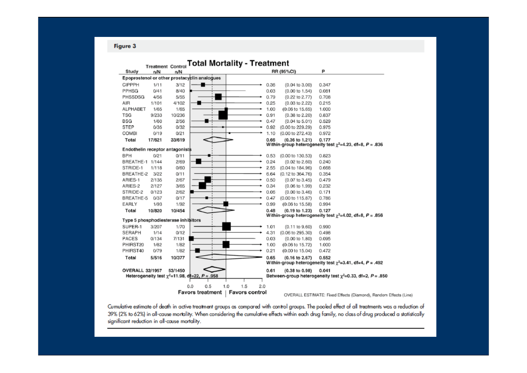Figure 3

|                 |        | <b>Treatment Control</b>            |                                                       | <b>Total Mortality - Treatment</b> |      |                            |                                                                  |
|-----------------|--------|-------------------------------------|-------------------------------------------------------|------------------------------------|------|----------------------------|------------------------------------------------------------------|
| Study           | n/N    | n/N                                 |                                                       |                                    |      | RR (95%CI)                 | P                                                                |
|                 |        |                                     | Epoprostenol or other prostacyclin analogues          |                                    |      |                            |                                                                  |
| CIPPPH          | 1/11   | 3/12                                |                                                       |                                    | 0.36 | $(0.04 \text{ to } 3.00)$  | 0.347                                                            |
| PPHSG           | 0/41   | 8/40                                |                                                       |                                    | 0.03 | $(0.00 \text{ to } 1.54)$  | 0.081                                                            |
| PHSSDSG         | 4/56   | 5/55                                |                                                       |                                    | 0.79 | (0.22 to 2.77)             | 0.708                                                            |
| AIR             | 1/101  | 4/102                               |                                                       |                                    | 0.25 | $(0.03 \text{ to } 2.22)$  | 0.215                                                            |
| ALPHABET        | 1/65   | 1/65                                |                                                       |                                    | 1.00 | (0.06 to 15.65)            | 1.000                                                            |
| <b>TSG</b>      | 9/233  | 10/236                              |                                                       |                                    | 0.91 | $(0.38$ to $2.20)$         | 0.837                                                            |
| BSG             | 1/60   | 2/56                                |                                                       |                                    | 0.47 | $(0.04 \text{ to } 5.01)$  | 0.529                                                            |
| STEP            | 0/35   | 0/32                                |                                                       |                                    | 0.92 | (0.00 to 229.29)           | 0.975                                                            |
| COMBI           | 0/19   | 0/21                                |                                                       |                                    | 1.10 | (0.00 to 272.43)           | 0.972                                                            |
| Total           | 17/621 | 33/619                              |                                                       |                                    | 0.66 | (0.36 to 1.21)             | 0.177                                                            |
|                 |        |                                     |                                                       |                                    |      |                            | Within-group heterogeneity test $\chi^2$ =4.23, df=8, P = .836   |
|                 |        | Endothelin receptor antagonists     |                                                       |                                    |      |                            |                                                                  |
| BPH             | 0/21   | 0/11                                |                                                       |                                    | 0.53 | (0.00 to 130.53)           | 0.823                                                            |
| BREATHE-1 1/144 |        | 2/69                                |                                                       |                                    | 0.24 | $(0.02 \text{ to } 2.60)$  | 0.240                                                            |
| STRIDE-1        | 1/118  | 0/60                                |                                                       |                                    | 2.55 | (0.04 to 184.96)           | 0.668                                                            |
| BREATHE-2       | 3/22   | 0/11                                |                                                       |                                    | 6.64 | (0.12 to 364.76)           | 0.354                                                            |
| ARIES-1         | 2/135  | 2/67                                |                                                       |                                    | 0.50 | $(0.07 \text{ to } 3.45)$  | 0.479                                                            |
| ARIES-2         | 2/127  | 3/65                                |                                                       |                                    | 0.34 | $(0.06 \text{ to } 1.99)$  | 0.232                                                            |
| STRIDE-2        | 0/123  | 2/62                                |                                                       |                                    | 0.06 | $(0.00 \text{ to } 3.46)$  | 0.171                                                            |
| BREATHE-5       | 0/37   | 0/17                                |                                                       |                                    | 0.47 | (0.00 to 115.87)           | 0.786                                                            |
| EARLY           | 1/93   | 1/92                                |                                                       |                                    | 0.99 | $(0.06 \text{ to } 15.58)$ | 0.994                                                            |
| Total           | 10/820 | 10/454                              |                                                       |                                    | 0.48 | $(0.19$ to $1.23)$         | 0.127                                                            |
|                 |        | Type 5 phosphodiesterase inhibitors |                                                       |                                    |      |                            | Within-group heterogeneity test $\chi^2$ =4.02, df=8, P = .856   |
| SUPER-1         | 3/207  | 1/70                                |                                                       |                                    | 1.01 | $(0.11$ to $9.60)$         | 0.990                                                            |
| SERAPH          | 1/14   | 0/12                                |                                                       |                                    | 4.31 | (0.06 to 295.30)           | 0.498                                                            |
| PACES           | 0/134  | 7/131                               |                                                       |                                    | 0.03 | $(0.00 \text{ to } 1.80)$  | 0.095                                                            |
| PHIRST20        | 1/82   | 1/82                                |                                                       |                                    | 1.00 | (0.06 to 15.72)            | 1.000                                                            |
| PHIRST40        | 0/79   | 1/82                                |                                                       |                                    | 0.21 | (0.00 t0 15.04)            | 0.472                                                            |
| Total           | 5/516  | 10/377                              |                                                       |                                    | 0.65 | $(0.16$ to $2.67)$         | 0.552                                                            |
|                 |        |                                     |                                                       |                                    |      |                            | Within-group heterogeneity test $\chi^2$ =3.41, df=4, P = .492   |
| OVERALL 32/1957 |        | 53/1450                             |                                                       |                                    | 0.61 | $(0.38 \text{ to } 0.98)$  | 0.041                                                            |
|                 |        |                                     | Heterogeneity test $\gamma^2$ =11.98, df=22, P = .958 |                                    |      |                            | Between-group heterogeneity test $\chi^2$ =0.33, df=2, P = .850  |
|                 |        |                                     |                                                       |                                    |      |                            |                                                                  |
|                 |        |                                     | 0.5<br>0.0                                            | 1.5<br>1.0<br>2.0                  |      |                            |                                                                  |
|                 |        |                                     | <b>Favors treatment</b>                               | <b>Favors control</b>              |      |                            | OVERALL ESTIMATE: Fixed Effects (Diamond), Random Effects (Line) |

Cumulative estimate of death in active treatment groups as compared with control groups. The pooled effect of all treatments was a reduction of<br>39% (2% to 62%) in all-cause mortality. When considering the cumulative effect

significant reduction in all-cause mortality.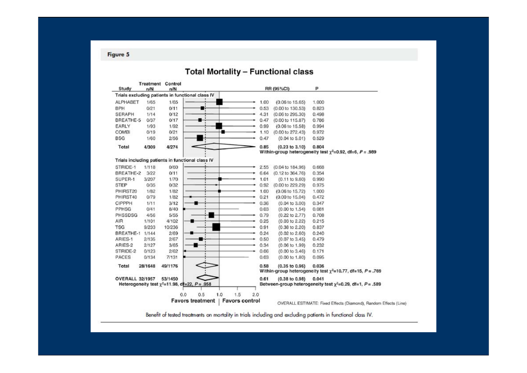**Figure 5** 

#### **Total Mortality - Functional class**



Benefit of tested treatments on mortality in trials including and excluding patients in functional class IV.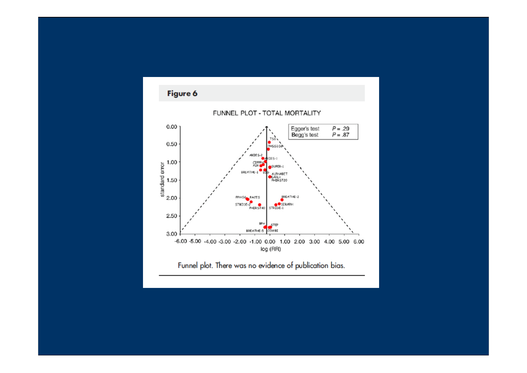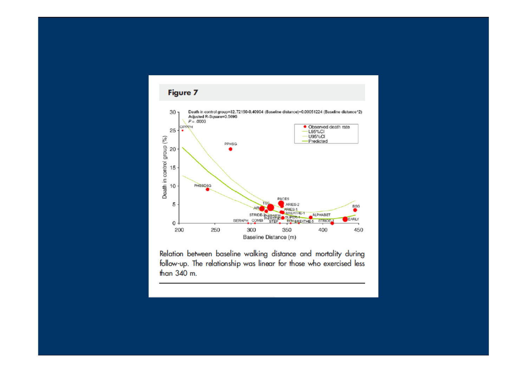

Relation between baseline walking distance and mortality during follow-up. The relationship was linear for those who exercised less than 340 m.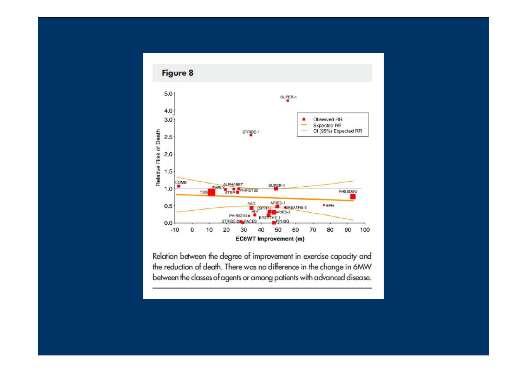

Relation between the degree of improvement in exercise capacity and the reduction of death. There was no difference in the change in 6MW between the classes of agents or among patients with advanced disease.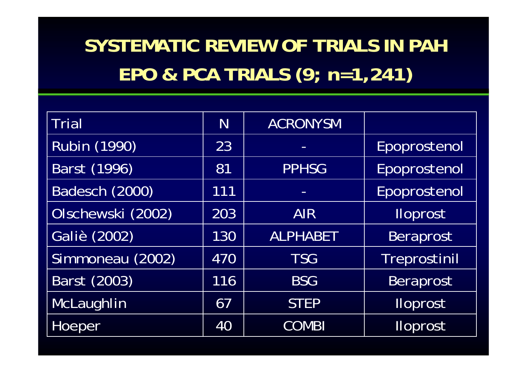## **SYSTEMATIC REVIEW OF TRIALS IN PAH** EPO & PCA TRIALS (9; n=1,241)

| <b>Trial</b>        | N   | <b>ACRONYSM</b> |                 |
|---------------------|-----|-----------------|-----------------|
| <b>Rubin (1990)</b> | 23  |                 | Epoprostenol    |
| Barst (1996)        | 81  | <b>PPHSG</b>    | Epoprostenol    |
| Badesch (2000)      | 111 |                 | Epoprostenol    |
| Olschewski (2002)   | 203 | <b>AIR</b>      | <b>Iloprost</b> |
| Galiè (2002)        | 130 | <b>ALPHABET</b> | Beraprost       |
| Simmoneau (2002)    | 470 | <b>TSG</b>      | Treprostinil    |
| Barst (2003)        | 116 | <b>BSG</b>      | Beraprost       |
| McLaughlin          | 67  | <b>STEP</b>     | <b>Iloprost</b> |
| Hoeper              | 40  | <b>COMBI</b>    | <b>Iloprost</b> |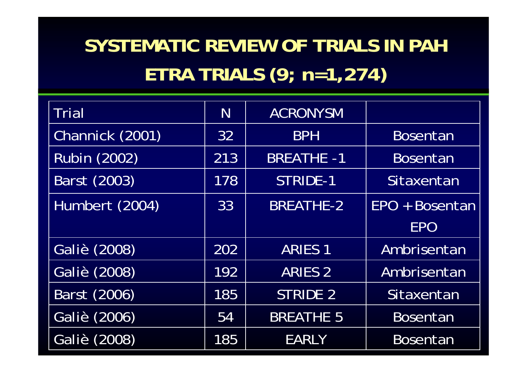# **SYSTEMATIC REVIEW OF TRIALS IN PAH ETRA TRIALS (9; n=1,274)**

| <b>Trial</b>        | N   | ACRONYSM          |                 |
|---------------------|-----|-------------------|-----------------|
| Channick (2001)     | 32  | <b>BPH</b>        | <b>Bosentan</b> |
| <b>Rubin (2002)</b> | 213 | <b>BREATHE -1</b> | <b>Bosentan</b> |
| Barst (2003)        | 178 | <b>STRIDE-1</b>   | Sitaxentan      |
| Humbert (2004)      | 33  | <b>BREATHE-2</b>  | EPO + Bosentan  |
|                     |     |                   | <b>EPO</b>      |
| Galiè (2008)        | 202 | <b>ARIES 1</b>    | Ambrisentan     |
| Galiè (2008)        | 192 | <b>ARIES 2</b>    | Ambrisentan     |
| Barst (2006)        | 185 | <b>STRIDE 2</b>   | Sitaxentan      |
| Galiè (2006)        | 54  | <b>BREATHE 5</b>  | <b>Bosentan</b> |
| Galiè (2008)        | 185 | <b>EARLY</b>      | <b>Bosentan</b> |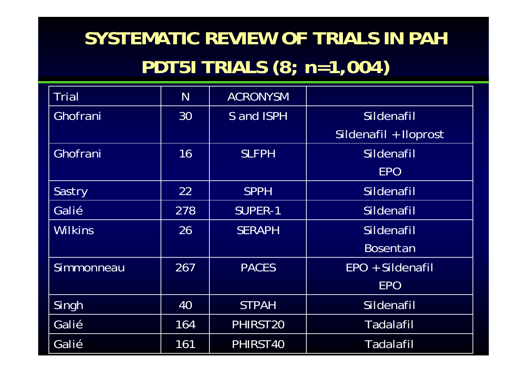## SYSTEMATIC REVIEW OF TRIALS IN PAH PDT51 TRIALS (8; n=1,004)

| <b>Trial</b>   | N   | <b>ACRONYSM</b> |                       |
|----------------|-----|-----------------|-----------------------|
| Ghofrani       | 30  | S and ISPH      | Sildenafil            |
|                |     |                 | Sildenafil + Iloprost |
| Ghofrani       | 16  | <b>SLFPH</b>    | Sildenafil            |
|                |     |                 | <b>EPO</b>            |
| Sastry         | 22  | <b>SPPH</b>     | Sildenafil            |
| Galié          | 278 | <b>SUPER-1</b>  | Sildenafil            |
| <b>Wilkins</b> | 26  | <b>SERAPH</b>   | Sildenafil            |
|                |     |                 | <b>Bosentan</b>       |
| Simmonneau     | 267 | <b>PACES</b>    | EPO + Sildenafil      |
|                |     |                 | <b>EPO</b>            |
| Singh          | 40  | <b>STPAH</b>    | Sildenafil            |
| Galié          | 164 | PHIRST20        | <b>Tadalafil</b>      |
| Galié          | 161 | PHIRST40        | Tadalafil             |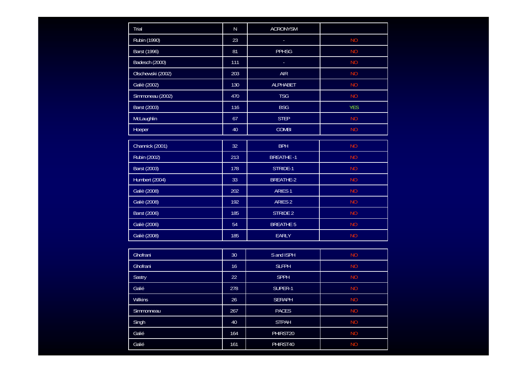| Trial             | ${\sf N}$ | <b>ACRONYSM</b>    |            |
|-------------------|-----------|--------------------|------------|
| Rubin (1990)      | 23        |                    | <b>NO</b>  |
| Barst (1996)      | 81        | <b>PPHSG</b>       | <b>NO</b>  |
| Badesch (2000)    | 111       |                    | <b>NO</b>  |
| Olschewski (2002) | 203       | <b>AIR</b>         | <b>NO</b>  |
| Galiè (2002)      | 130       | <b>ALPHABET</b>    | <b>NO</b>  |
| Simmoneau (2002)  | 470       | <b>TSG</b>         | <b>NO</b>  |
| Barst (2003)      | 116       | <b>BSG</b>         | <b>YES</b> |
| McLaughlin        | 67        | <b>STEP</b>        | <b>NO</b>  |
| Hoeper            | 40        | <b>COMBI</b>       | <b>NO</b>  |
| Channick (2001)   | 32        | <b>BPH</b>         | <b>NO</b>  |
| Rubin (2002)      | 213       | <b>BREATHE -1</b>  | <b>NO</b>  |
| Barst (2003)      | 178       | STRIDE-1           | <b>NO</b>  |
| Humbert (2004)    | 33        | <b>BREATHE-2</b>   | <b>NO</b>  |
| Galiè (2008)      | 202       | <b>ARIES1</b>      | <b>NO</b>  |
| Galiè (2008)      | 192       | ARIES <sub>2</sub> | <b>NO</b>  |
| Barst (2006)      | 185       | <b>STRIDE 2</b>    | <b>NO</b>  |
| Galiè (2006)      | 54        | <b>BREATHE 5</b>   | <b>NO</b>  |
| Galiè (2008)      | 185       | <b>EARLY</b>       | <b>NO</b>  |
|                   |           |                    |            |
| Ghofrani          | 30        | S and ISPH         | <b>NO</b>  |
| Ghofrani          | 16        | <b>SLFPH</b>       | <b>NO</b>  |
| Sastry            | 22        | <b>SPPH</b>        | <b>NO</b>  |
| Galié             | 278       | SUPER-1            | <b>NO</b>  |
| <b>Wilkins</b>    | 26        | <b>SERAPH</b>      | <b>NO</b>  |
| Simmonneau        | 267       | <b>PACES</b>       | <b>NO</b>  |
| Singh             | 40        | <b>STPAH</b>       | <b>NO</b>  |
| Galié             | 164       | PHIRST20           | <b>NO</b>  |
| Galié             | 161       | PHIRST40           | <b>NO</b>  |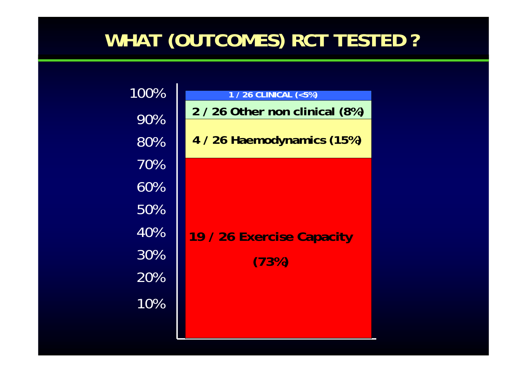## **WHAT (OUTCOMES) RCT TESTED ?**

| 100%   | 1 / 26 CLINICAL (<5%)          |
|--------|--------------------------------|
| 90%    | 2 / 26 Other non clinical (8%) |
| 80%    | 4 / 26 Haemodynamics (15%)     |
| 70%    |                                |
| 60%    |                                |
| 50%    |                                |
| 40%    | 19 / 26 Exercise Capacity      |
| $30\%$ | (73%)                          |
| 20%    |                                |
| 10%    |                                |
|        |                                |

**Contract**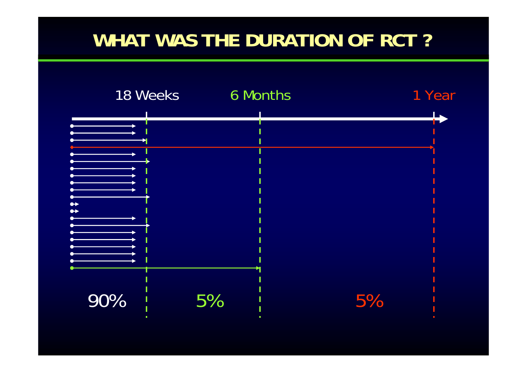### **WHAT WAS THE DURATION OF RCT ?**

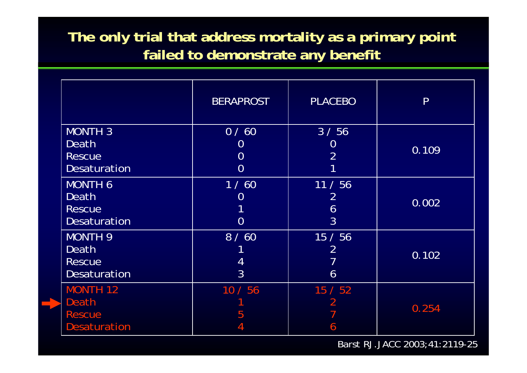#### **The only trial that address mortality as a primary point failed to demonstrate any benefit**

|                                                                        | <b>BERAPROST</b>                                           | <b>PLACEBO</b>              | P     |
|------------------------------------------------------------------------|------------------------------------------------------------|-----------------------------|-------|
| <b>MONTH 3</b><br>Death<br><b>Rescue</b><br><b>Desaturation</b>        | 0/60<br>$\overline{0}$<br>$\overline{0}$<br>$\overline{0}$ | 3/56<br>U<br>$\overline{2}$ | 0.109 |
| <b>MONTH 6</b><br>Death<br><b>Rescue</b><br><b>Desaturation</b>        | 1/60<br>$\Omega$<br>$\Omega$                               | 11 / 56<br>2<br>6<br>3      | 0.002 |
| <b>MONTH 9</b><br><b>Death</b><br><b>Rescue</b><br><b>Desaturation</b> | 8/60<br>4<br>$\overline{3}$                                | 15/56<br>2<br>6             | 0.102 |
| <b>MONTH 12</b><br>Death<br><b>Rescue</b><br><b>Desaturation</b>       | 10/56<br>5                                                 | 15 / 52<br>6                | 0.254 |

Barst RJ.JACC 2003;41:2119-25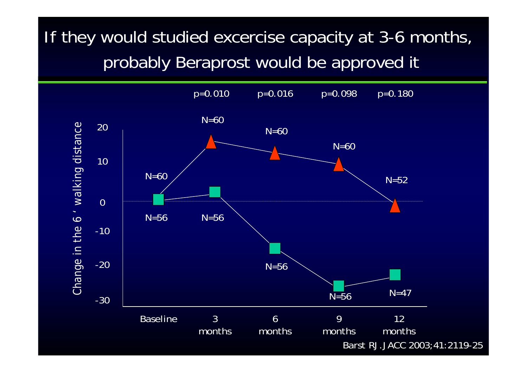## If they would studied excercise capacity at 3-6 months, probably Beraprost would be approved it

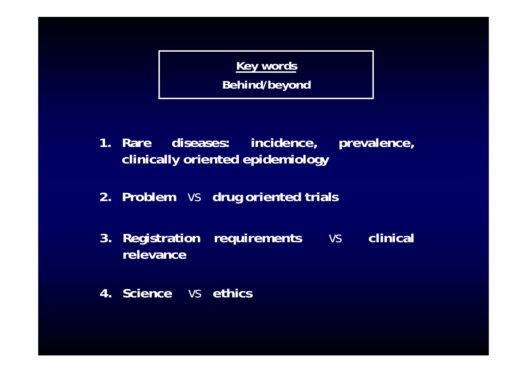#### **Key words**

**Behind/beyond**

- **1. Rare diseases: incidence, prevalence, clinically oriented epidemiology**
- **2. Problem** *vs* **drug oriented trials**
- **3. Registration requirements** *vs* **clinical relevance**
- **4. Science** *vs* **ethics**